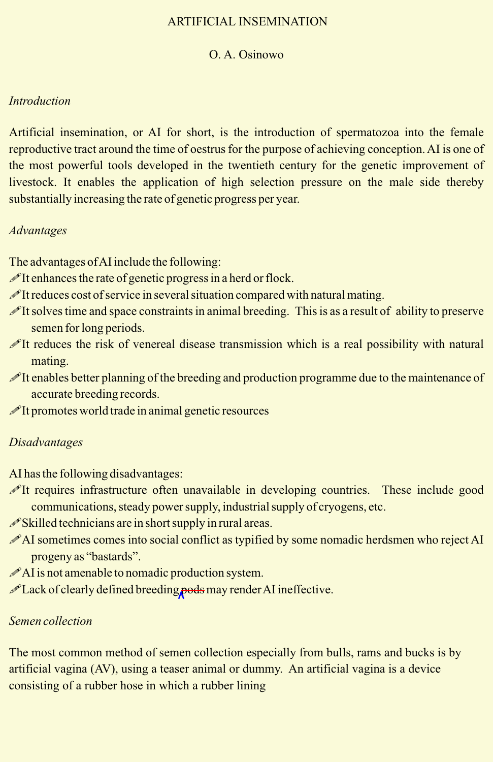## ARTIFICIAL INSEMINATION

### O. A. Osinowo

## *Introduction*

Artificial insemination, or AI for short, is the introduction of spermatozoa into the female reproductive tract around the time of oestrus for the purpose of achieving conception. AI is one of the most powerful tools developed in the twentieth century for the genetic improvement of livestock. It enables the application of high selection pressure on the male side thereby substantially increasing the rate of genetic progress per year.

### *Advantages*

The advantages of AI include the following:

- $\mathscr{I}$ It enhances the rate of genetic progress in a herd or flock.
- $\mathscr{I}$ It reduces cost of service in several situation compared with natural mating.
- !It solves time and space constraints in animal breeding. This is as a result of ability to preserve semen for long periods.
- It reduces the risk of venereal disease transmission which is a real possibility with natural mating.
- !It enables better planning of the breeding and production programme due to the maintenance of accurate breeding records.
- $\mathscr{I}$ It promotes world trade in animal genetic resources

## *Disadvantages*

AI has the following disadvantages:

- !It requires infrastructure often unavailable in developing countries. These include good communications, steady power supply, industrial supply of cryogens, etc.
- $\mathscr{S}$ Skilled technicians are in short supply in rural areas.
- AI sometimes comes into social conflict as typified by some nomadic herdsmen who reject AI progeny as "bastards".
- $\mathscr{P}$ AI is not amenable to nomadic production system.
- !Lack of clearly defined breeding pods may render AI ineffective.

## *Semen collection*

The most common method of semen collection especially from bulls, rams and bucks is by artificial vagina (AV), using a teaser animal or dummy. An artificial vagina is a device consisting of a rubber hose in which a rubber lining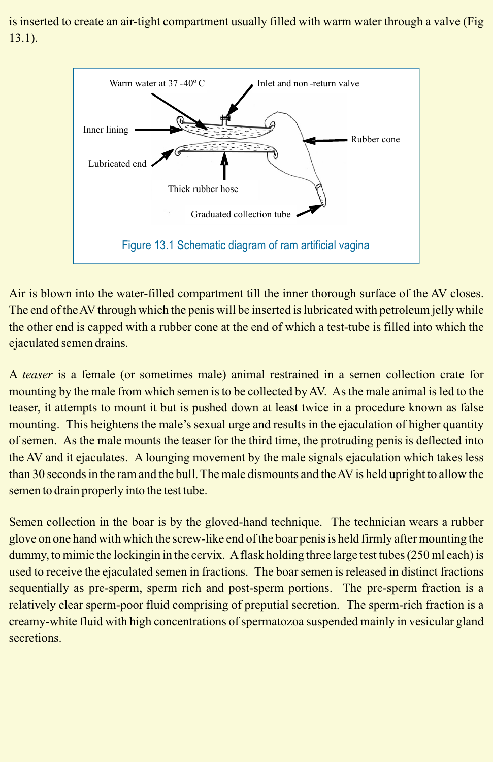is inserted to create an air-tight compartment usually filled with warm water through a valve (Fig 13.1).



Air is blown into the water-filled compartment till the inner thorough surface of the AV closes. The end of the AV through which the penis will be inserted is lubricated with petroleum jelly while the other end is capped with a rubber cone at the end of which a test-tube is filled into which the ejaculated semen drains.

A *teaser* is a female (or sometimes male) animal restrained in a semen collection crate for mounting by the male from which semen is to be collected by AV. As the male animal is led to the teaser, it attempts to mount it but is pushed down at least twice in a procedure known as false mounting. This heightens the male's sexual urge and results in the ejaculation of higher quantity of semen. As the male mounts the teaser for the third time, the protruding penis is deflected into the AV and it ejaculates. A lounging movement by the male signals ejaculation which takes less than 30 seconds in the ram and the bull. The male dismounts and the AV is held upright to allow the semen to drain properly into the test tube.

Semen collection in the boar is by the gloved-hand technique. The technician wears a rubber glove on one hand with which the screw-like end of the boar penis is held firmly after mounting the dummy, to mimic the lockingin in the cervix. A flask holding three large test tubes (250 ml each) is used to receive the ejaculated semen in fractions. The boar semen is released in distinct fractions sequentially as pre-sperm, sperm rich and post-sperm portions. The pre-sperm fraction is a relatively clear sperm-poor fluid comprising of preputial secretion. The sperm-rich fraction is a creamy-white fluid with high concentrations of spermatozoa suspended mainly in vesicular gland **secretions**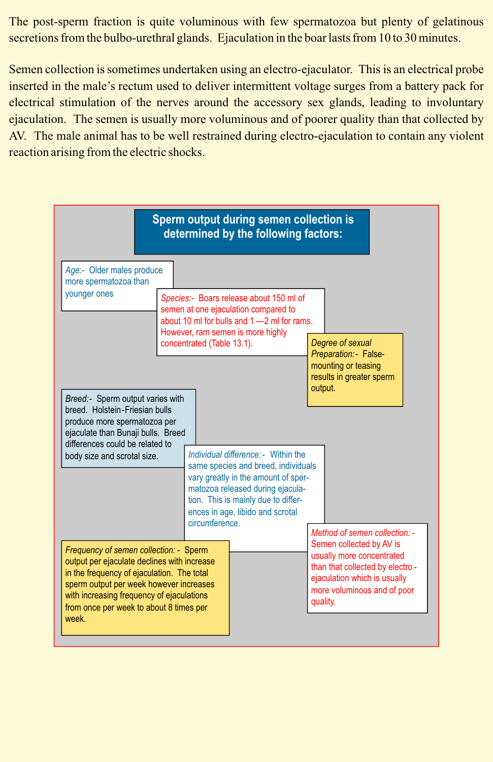The post-sperm fraction is quite voluminous with few spermatozoa but plenty of gelatinous secretions from the bulbo-urethral glands. Ejaculation in the boar lasts from 10 to 30 minutes.

Semen collection is sometimes undertaken using an electro-ejaculator. This is an electrical probe inserted in the male's rectum used to deliver intermittent voltage surges from a battery pack for electrical stimulation of the nerves around the accessory sex glands, leading to involuntary ejaculation. The semen is usually more voluminous and of poorer quality than that collected by AV. The male animal has to be well restrained during electro-ejaculation to contain any violent reaction arising from the electric shocks.

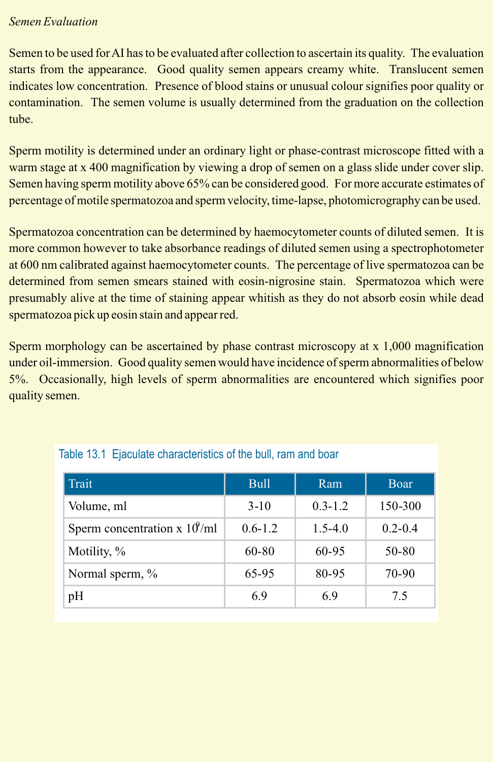## *Semen Evaluation*

Semen to be used for AI has to be evaluated after collection to ascertain its quality. The evaluation starts from the appearance. Good quality semen appears creamy white. Translucent semen indicates low concentration. Presence of blood stains or unusual colour signifies poor quality or contamination. The semen volume is usually determined from the graduation on the collection tube.

Sperm motility is determined under an ordinary light or phase-contrast microscope fitted with a warm stage at x 400 magnification by viewing a drop of semen on a glass slide under cover slip. Semen having sperm motility above 65% can be considered good. For more accurate estimates of percentage of motile spermatozoa and sperm velocity, time-lapse, photomicrography can be used.

Spermatozoa concentration can be determined by haemocytometer counts of diluted semen. It is more common however to take absorbance readings of diluted semen using a spectrophotometer at 600 nm calibrated against haemocytometer counts. The percentage of live spermatozoa can be determined from semen smears stained with eosin-nigrosine stain. Spermatozoa which were presumably alive at the time of staining appear whitish as they do not absorb eosin while dead spermatozoa pick up eosin stain and appear red.

Sperm morphology can be ascertained by phase contrast microscopy at x 1,000 magnification under oil-immersion. Good quality semen would have incidence of sperm abnormalities of below 5%. Occasionally, high levels of sperm abnormalities are encountered which signifies poor quality semen.

| Trait                                        | <b>Bull</b> | Ram         | Boar        |
|----------------------------------------------|-------------|-------------|-------------|
| Volume, ml                                   | $3-10$      | $0.3 - 1.2$ | 150-300     |
| Sperm concentration x $10^{\circ}/\text{ml}$ | $0.6 - 1.2$ | $1.5 - 4.0$ | $0.2 - 0.4$ |
| Motility, %                                  | 60-80       | 60-95       | 50-80       |
| Normal sperm, %                              | 65-95       | 80-95       | $70-90$     |
| pH                                           | 6.9         | 6.9         | 7.5         |

# Table 13.1 Ejaculate characteristics of the bull, ram and boar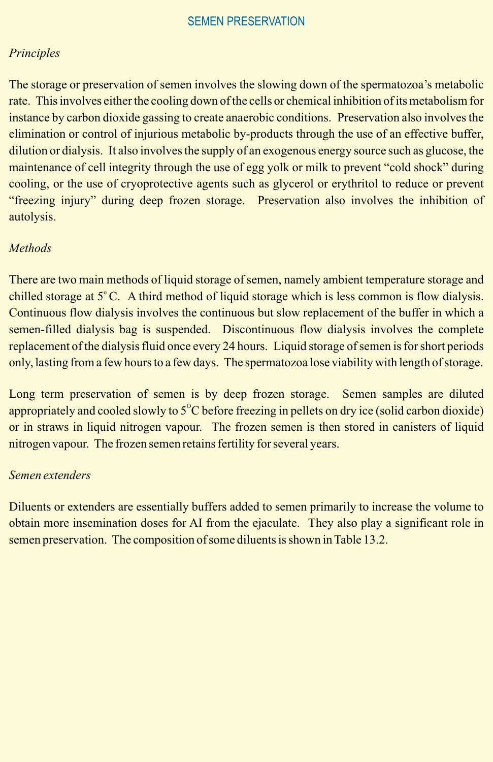## *Principles*

The storage or preservation of semen involves the slowing down of the spermatozoa's metabolic rate. This involves either the cooling down of the cells or chemical inhibition of its metabolism for instance by carbon dioxide gassing to create anaerobic conditions. Preservation also involves the elimination or control of injurious metabolic by-products through the use of an effective buffer, dilution or dialysis. It also involves the supply of an exogenous energy source such as glucose, the maintenance of cell integrity through the use of egg yolk or milk to prevent "cold shock" during cooling, or the use of cryoprotective agents such as glycerol or erythritol to reduce or prevent "freezing injury" during deep frozen storage. Preservation also involves the inhibition of autolysis.

# *Methods*

There are two main methods of liquid storage of semen, namely ambient temperature storage and chilled storage at 5°C. A third method of liquid storage which is less common is flow dialysis. Continuous flow dialysis involves the continuous but slow replacement of the buffer in which a semen-filled dialysis bag is suspended. Discontinuous flow dialysis involves the complete replacement of the dialysis fluid once every 24 hours. Liquid storage of semen is for short periods only, lasting from a few hours to a few days. The spermatozoa lose viability with length of storage.

Long term preservation of semen is by deep frozen storage. Semen samples are diluted appropriately and cooled slowly to  $5^{\circ}$ C before freezing in pellets on dry ice (solid carbon dioxide) or in straws in liquid nitrogen vapour. The frozen semen is then stored in canisters of liquid nitrogen vapour. The frozen semen retains fertility for several years.

## *Semen extenders*

Diluents or extenders are essentially buffers added to semen primarily to increase the volume to obtain more insemination doses for AI from the ejaculate. They also play a significant role in semen preservation. The composition of some diluents is shown in Table 13.2.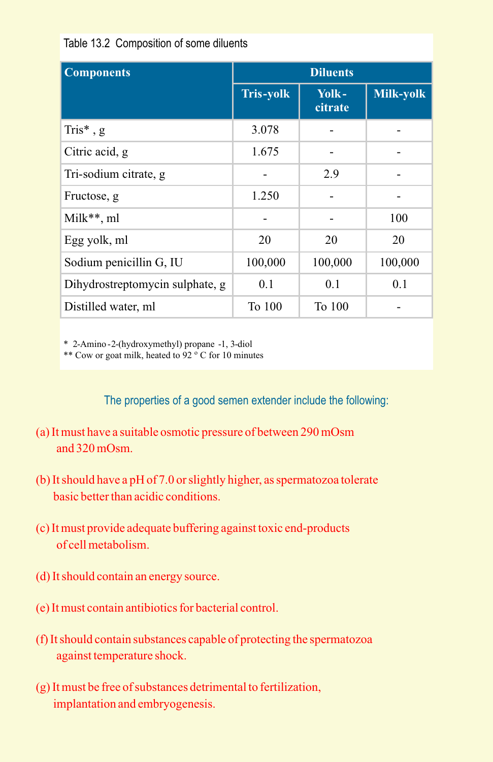|  | Table 13.2 Composition of some diluents |  |  |
|--|-----------------------------------------|--|--|
|--|-----------------------------------------|--|--|

| <b>Components</b>               | <b>Diluents</b>  |                  |           |
|---------------------------------|------------------|------------------|-----------|
|                                 | <b>Tris-yolk</b> | Yolk-<br>citrate | Milk-yolk |
| Tris $*$ , g                    | 3.078            |                  |           |
| Citric acid, g                  | 1.675            |                  |           |
| Tri-sodium citrate, g           |                  | 2.9              |           |
| Fructose, g                     | 1.250            |                  |           |
| $Milk**, ml$                    |                  |                  | 100       |
| Egg yolk, ml                    | 20               | 20               | 20        |
| Sodium penicillin G, IU         | 100,000          | 100,000          | 100,000   |
| Dihydrostreptomycin sulphate, g | 0.1              | 0.1              | 0.1       |
| Distilled water, ml             | To 100           | To 100           |           |

\* 2-Amino -2-(hydroxymethyl) propane -1, 3-diol

\*\* Cow or goat milk, heated to  $92^\circ$ C for 10 minutes

The properties of a good semen extender include the following:

- (a) It must have a suitable osmotic pressure of between 290 mOsm and  $320$  mOsm.
- (b) It should have a pH of 7.0 or slightly higher, as spermatozoa tolerate basic better than acidic conditions.
- (c) It must provide adequate buffering against toxic end-products of cell metabolism.
- (d) It should contain an energy source.
- (e) It must contain antibiotics for bacterial control.
- (f) It should contain substances capable of protecting the spermatozoa against temperature shock.
- (g) It must be free of substances detrimental to fertilization, implantation and embryogenesis.